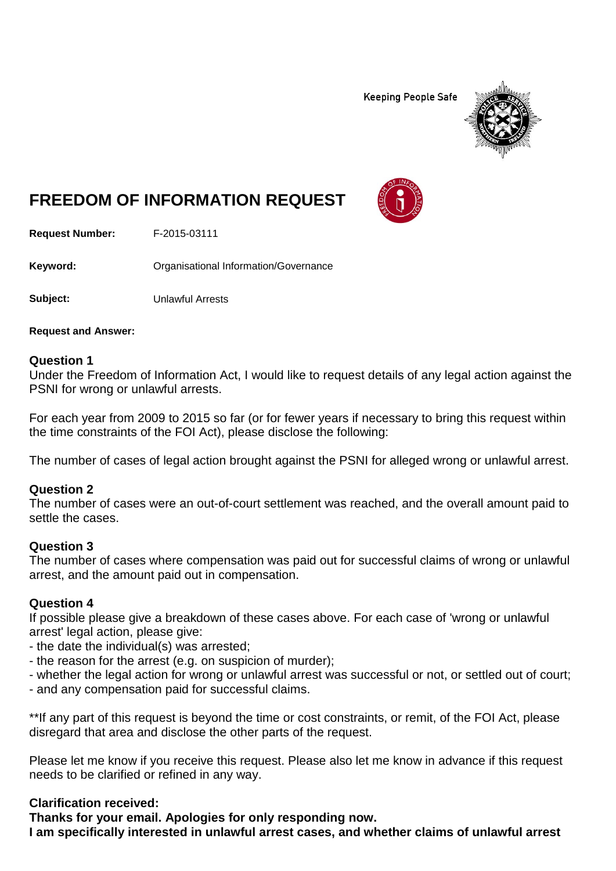**Keeping People Safe** 



# **FREEDOM OF INFORMATION REQUEST**

**Request Number:** F-2015-03111

Keyword: **Communistry Communists** Organisational Information/Governance

**Subject:** Unlawful Arrests

**Request and Answer:**

#### **Question 1**

Under the Freedom of Information Act, I would like to request details of any legal action against the PSNI for wrong or unlawful arrests.

For each year from 2009 to 2015 so far (or for fewer years if necessary to bring this request within the time constraints of the FOI Act), please disclose the following:

The number of cases of legal action brought against the PSNI for alleged wrong or unlawful arrest.

#### **Question 2**

The number of cases were an out-of-court settlement was reached, and the overall amount paid to settle the cases.

#### **Question 3**

The number of cases where compensation was paid out for successful claims of wrong or unlawful arrest, and the amount paid out in compensation.

#### **Question 4**

If possible please give a breakdown of these cases above. For each case of 'wrong or unlawful arrest' legal action, please give:

- the date the individual(s) was arrested;
- the reason for the arrest (e.g. on suspicion of murder);
- whether the legal action for wrong or unlawful arrest was successful or not, or settled out of court;
- and any compensation paid for successful claims.

\*\*If any part of this request is beyond the time or cost constraints, or remit, of the FOI Act, please disregard that area and disclose the other parts of the request.

Please let me know if you receive this request. Please also let me know in advance if this request needs to be clarified or refined in any way.

#### **Clarification received:**

**Thanks for your email. Apologies for only responding now. I am specifically interested in unlawful arrest cases, and whether claims of unlawful arrest**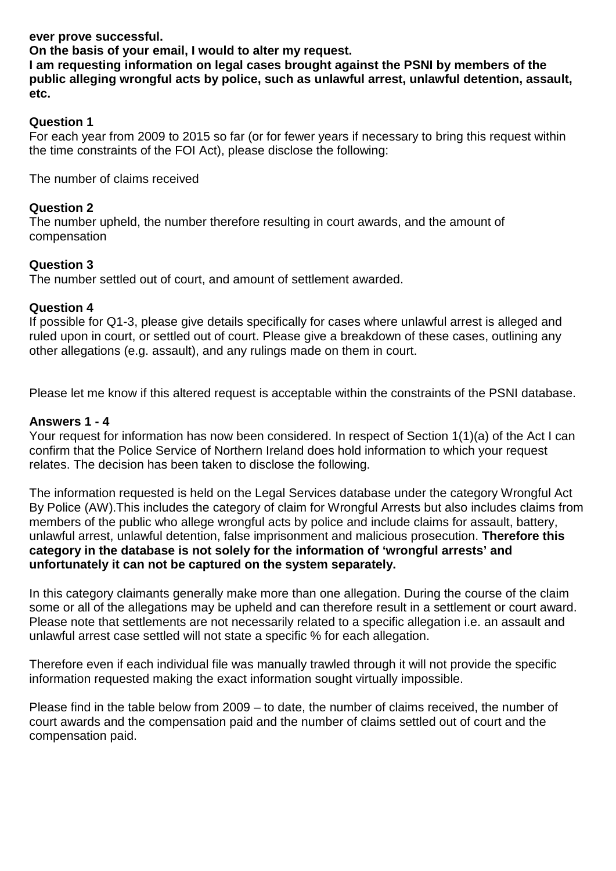### **ever prove successful.**

**On the basis of your email, I would to alter my request.**

**I am requesting information on legal cases brought against the PSNI by members of the public alleging wrongful acts by police, such as unlawful arrest, unlawful detention, assault, etc.**

## **Question 1**

For each year from 2009 to 2015 so far (or for fewer years if necessary to bring this request within the time constraints of the FOI Act), please disclose the following:

The number of claims received

## **Question 2**

The number upheld, the number therefore resulting in court awards, and the amount of compensation

## **Question 3**

The number settled out of court, and amount of settlement awarded.

## **Question 4**

If possible for Q1-3, please give details specifically for cases where unlawful arrest is alleged and ruled upon in court, or settled out of court. Please give a breakdown of these cases, outlining any other allegations (e.g. assault), and any rulings made on them in court.

Please let me know if this altered request is acceptable within the constraints of the PSNI database.

## **Answers 1 - 4**

Your request for information has now been considered. In respect of Section 1(1)(a) of the Act I can confirm that the Police Service of Northern Ireland does hold information to which your request relates. The decision has been taken to disclose the following.

The information requested is held on the Legal Services database under the category Wrongful Act By Police (AW).This includes the category of claim for Wrongful Arrests but also includes claims from members of the public who allege wrongful acts by police and include claims for assault, battery, unlawful arrest, unlawful detention, false imprisonment and malicious prosecution. **Therefore this category in the database is not solely for the information of 'wrongful arrests' and unfortunately it can not be captured on the system separately.** 

In this category claimants generally make more than one allegation. During the course of the claim some or all of the allegations may be upheld and can therefore result in a settlement or court award. Please note that settlements are not necessarily related to a specific allegation i.e. an assault and unlawful arrest case settled will not state a specific % for each allegation.

Therefore even if each individual file was manually trawled through it will not provide the specific information requested making the exact information sought virtually impossible.

Please find in the table below from 2009 – to date, the number of claims received, the number of court awards and the compensation paid and the number of claims settled out of court and the compensation paid.